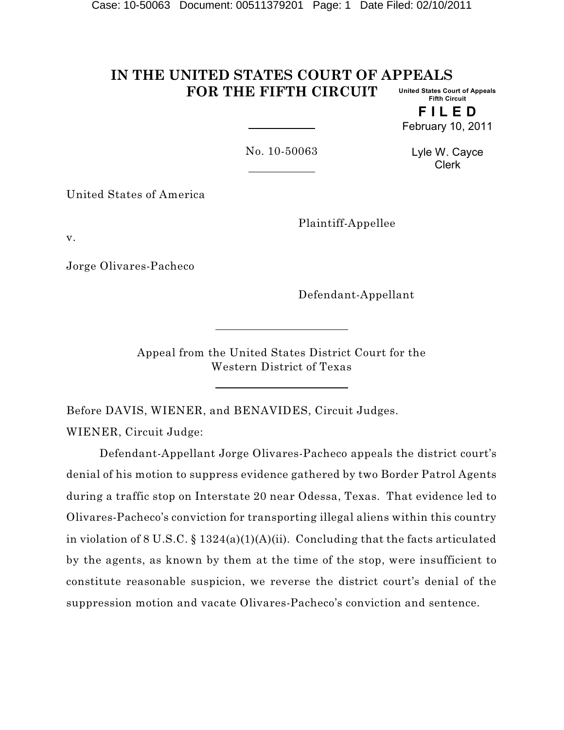#### **IN THE UNITED STATES COURT OF APPEALS FOR THE FIFTH CIRCUIT United States Court of Appeals Fifth Circuit**

**F I L E D** February 10, 2011

No. 10-50063

Lyle W. Cayce Clerk

United States of America

Plaintiff-Appellee

v.

Jorge Olivares-Pacheco

Defendant-Appellant

Appeal from the United States District Court for the Western District of Texas

Before DAVIS, WIENER, and BENAVIDES, Circuit Judges. WIENER, Circuit Judge:

Defendant-Appellant Jorge Olivares-Pacheco appeals the district court's denial of his motion to suppress evidence gathered by two Border Patrol Agents during a traffic stop on Interstate 20 near Odessa, Texas. That evidence led to Olivares-Pacheco's conviction for transporting illegal aliens within this country in violation of 8 U.S.C.  $\S 1324(a)(1)(A)(ii)$ . Concluding that the facts articulated by the agents, as known by them at the time of the stop, were insufficient to constitute reasonable suspicion, we reverse the district court's denial of the suppression motion and vacate Olivares-Pacheco's conviction and sentence.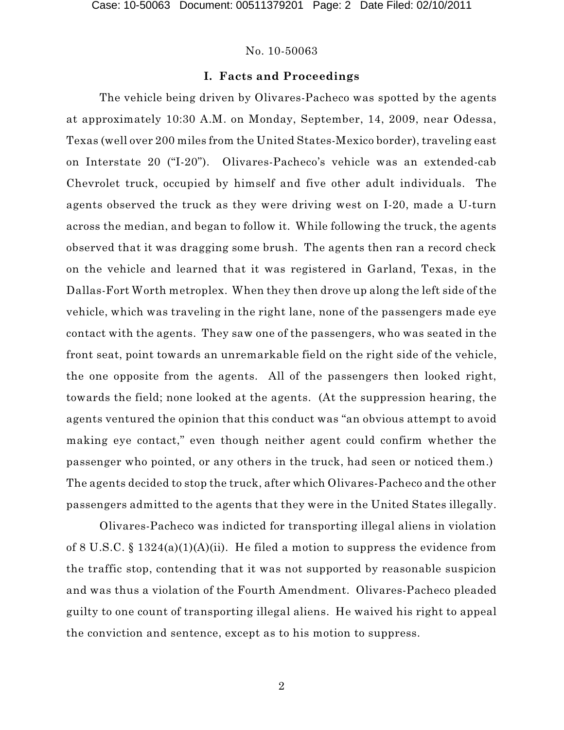# **I. Facts and Proceedings**

The vehicle being driven by Olivares-Pacheco was spotted by the agents at approximately 10:30 A.M. on Monday, September, 14, 2009, near Odessa, Texas (well over 200 miles from the United States-Mexico border), traveling east on Interstate 20 ("I-20"). Olivares-Pacheco's vehicle was an extended-cab Chevrolet truck, occupied by himself and five other adult individuals. The agents observed the truck as they were driving west on I-20, made a U-turn across the median, and began to follow it. While following the truck, the agents observed that it was dragging some brush. The agents then ran a record check on the vehicle and learned that it was registered in Garland, Texas, in the Dallas-Fort Worth metroplex. When they then drove up along the left side of the vehicle, which was traveling in the right lane, none of the passengers made eye contact with the agents. They saw one of the passengers, who was seated in the front seat, point towards an unremarkable field on the right side of the vehicle, the one opposite from the agents. All of the passengers then looked right, towards the field; none looked at the agents. (At the suppression hearing, the agents ventured the opinion that this conduct was "an obvious attempt to avoid making eye contact," even though neither agent could confirm whether the passenger who pointed, or any others in the truck, had seen or noticed them.) The agents decided to stop the truck, after which Olivares-Pacheco and the other passengers admitted to the agents that they were in the United States illegally.

Olivares-Pacheco was indicted for transporting illegal aliens in violation of 8 U.S.C. § 1324(a)(1)(A)(ii). He filed a motion to suppress the evidence from the traffic stop, contending that it was not supported by reasonable suspicion and was thus a violation of the Fourth Amendment. Olivares-Pacheco pleaded guilty to one count of transporting illegal aliens. He waived his right to appeal the conviction and sentence, except as to his motion to suppress.

2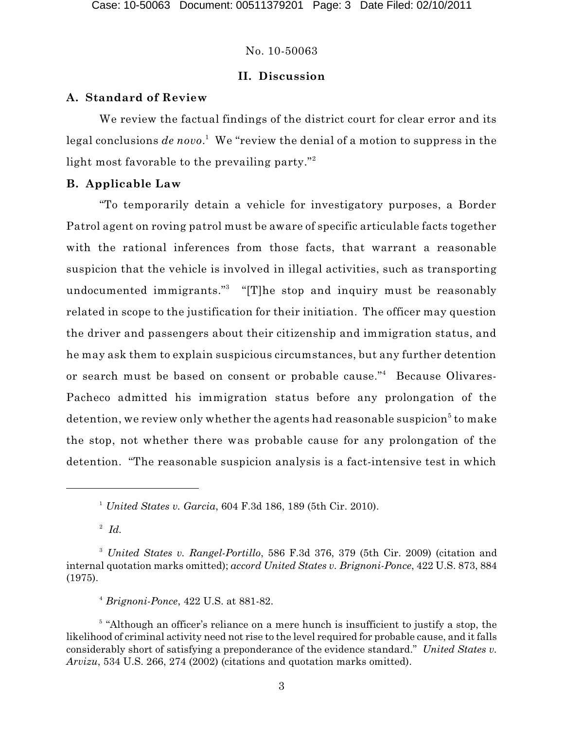# **II. Discussion**

## **A. Standard of Review**

We review the factual findings of the district court for clear error and its legal conclusions *de novo.* We "review the denial of a motion to suppress in the light most favorable to the prevailing party." 2

# **B. Applicable Law**

"To temporarily detain a vehicle for investigatory purposes, a Border Patrol agent on roving patrol must be aware of specific articulable facts together with the rational inferences from those facts, that warrant a reasonable suspicion that the vehicle is involved in illegal activities, such as transporting undocumented immigrants."<sup>3</sup> "[T]he stop and inquiry must be reasonably related in scope to the justification for their initiation. The officer may question the driver and passengers about their citizenship and immigration status, and he may ask them to explain suspicious circumstances, but any further detention or search must be based on consent or probable cause."<sup>4</sup> Because Olivares-Pacheco admitted his immigration status before any prolongation of the detention, we review only whether the agents had reasonable suspicion $^5$  to make the stop, not whether there was probable cause for any prolongation of the detention. "The reasonable suspicion analysis is a fact-intensive test in which

 $^2$  *Id.* 

*Brignoni-Ponce*, 422 U.S. at 881-82. <sup>4</sup>

<sup>&</sup>lt;sup>1</sup> United States v. Garcia, 604 F.3d 186, 189 (5th Cir. 2010).

*United States v. Rangel-Portillo*, 586 F.3d 376, 379 (5th Cir. 2009) (citation and <sup>3</sup> internal quotation marks omitted); *accord United States v. Brignoni-Ponce*, 422 U.S. 873, 884 (1975).

 $5$  "Although an officer's reliance on a mere hunch is insufficient to justify a stop, the likelihood of criminal activity need not rise to the level required for probable cause, and it falls considerably short of satisfying a preponderance of the evidence standard." *United States v. Arvizu*, 534 U.S. 266, 274 (2002) (citations and quotation marks omitted).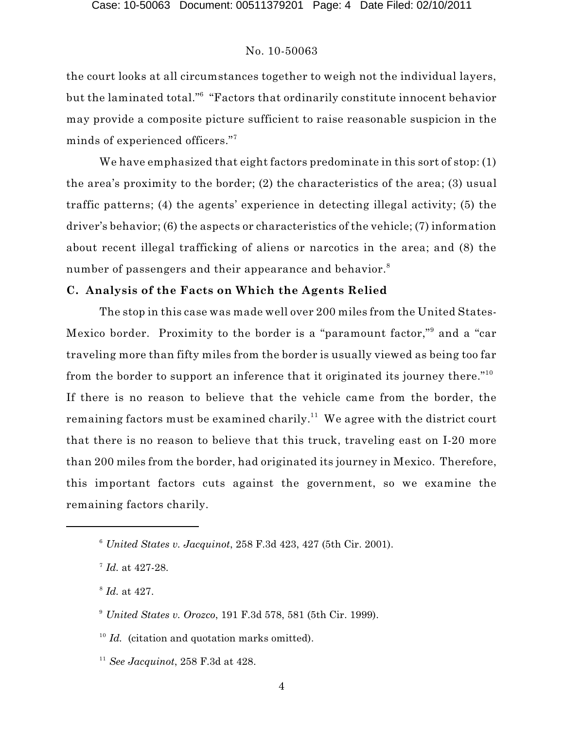the court looks at all circumstances together to weigh not the individual layers, but the laminated total." $\mathrm{^6}$  "Factors that ordinarily constitute innocent behavior may provide a composite picture sufficient to raise reasonable suspicion in the minds of experienced officers." 7

We have emphasized that eight factors predominate in this sort of stop: (1) the area's proximity to the border; (2) the characteristics of the area; (3) usual traffic patterns; (4) the agents' experience in detecting illegal activity; (5) the driver's behavior; (6) the aspects or characteristics of the vehicle; (7) information about recent illegal trafficking of aliens or narcotics in the area; and (8) the number of passengers and their appearance and behavior. $^{\mathrm{s}}$ 

# **C. Analysis of the Facts on Which the Agents Relied**

The stop in this case was made well over 200 miles from the United States-Mexico border. Proximity to the border is a "paramount factor,"<sup>9</sup> and a "car traveling more than fifty miles from the border is usually viewed as being too far from the border to support an inference that it originated its journey there." $^{10}$ If there is no reason to believe that the vehicle came from the border, the remaining factors must be examined charily. $^{11}$  We agree with the district court that there is no reason to believe that this truck, traveling east on I-20 more than 200 miles from the border, had originated its journey in Mexico. Therefore, this important factors cuts against the government, so we examine the remaining factors charily.

<sup>8</sup> *Id.* at 427.

<sup>10</sup> Id. (citation and quotation marks omitted).

*United States v. Jacquinot*, 258 F.3d 423, 427 (5th Cir. 2001). 6

<sup>&</sup>lt;sup>7</sup> Id. at 427-28.

<sup>&</sup>lt;sup>9</sup> United States v. Orozco, 191 F.3d 578, 581 (5th Cir. 1999).

<sup>&</sup>lt;sup>11</sup> See Jacquinot, 258 F.3d at 428.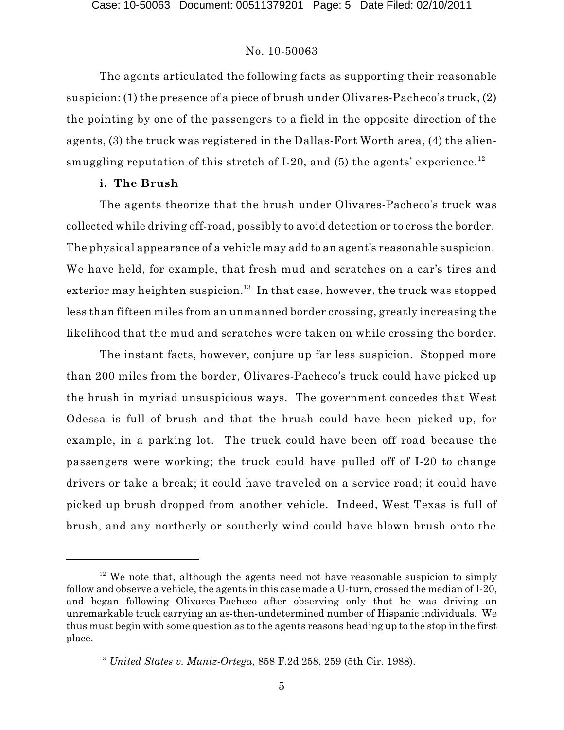The agents articulated the following facts as supporting their reasonable suspicion: (1) the presence of a piece of brush under Olivares-Pacheco's truck, (2) the pointing by one of the passengers to a field in the opposite direction of the agents, (3) the truck was registered in the Dallas-Fort Worth area, (4) the aliensmuggling reputation of this stretch of I-20, and (5) the agents' experience.<sup>12</sup>

# **i. The Brush**

The agents theorize that the brush under Olivares-Pacheco's truck was collected while driving off-road, possibly to avoid detection or to cross the border. The physical appearance of a vehicle may add to an agent's reasonable suspicion. We have held, for example, that fresh mud and scratches on a car's tires and exterior may heighten suspicion. $^{13}$  In that case, however, the truck was stopped less than fifteen miles from an unmanned border crossing, greatly increasing the likelihood that the mud and scratches were taken on while crossing the border.

The instant facts, however, conjure up far less suspicion. Stopped more than 200 miles from the border, Olivares-Pacheco's truck could have picked up the brush in myriad unsuspicious ways. The government concedes that West Odessa is full of brush and that the brush could have been picked up, for example, in a parking lot. The truck could have been off road because the passengers were working; the truck could have pulled off of I-20 to change drivers or take a break; it could have traveled on a service road; it could have picked up brush dropped from another vehicle. Indeed, West Texas is full of brush, and any northerly or southerly wind could have blown brush onto the

 $12$  We note that, although the agents need not have reasonable suspicion to simply follow and observe a vehicle, the agents in this case made a U-turn, crossed the median of I-20, and began following Olivares-Pacheco after observing only that he was driving an unremarkable truck carrying an as-then-undetermined number of Hispanic individuals. We thus must begin with some question as to the agents reasons heading up to the stop in the first place.

<sup>&</sup>lt;sup>13</sup> United States v. Muniz-Ortega, 858 F.2d 258, 259 (5th Cir. 1988).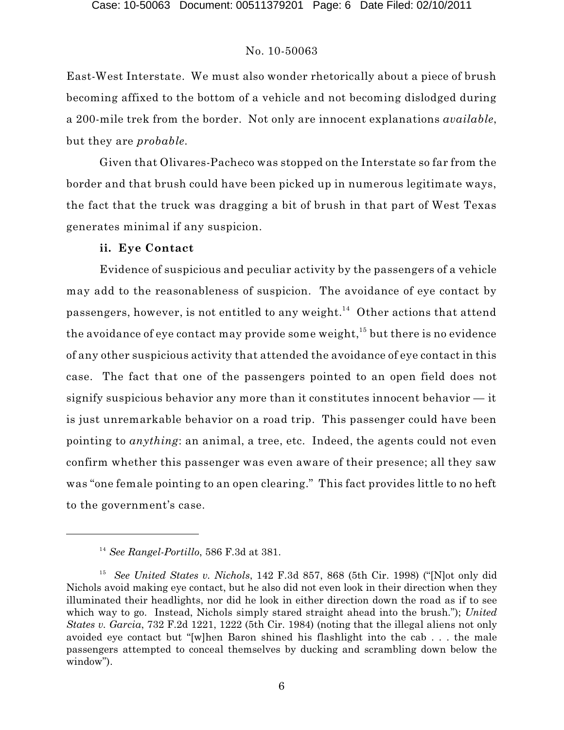East-West Interstate. We must also wonder rhetorically about a piece of brush becoming affixed to the bottom of a vehicle and not becoming dislodged during a 200-mile trek from the border. Not only are innocent explanations *available*, but they are *probable*.

Given that Olivares-Pacheco was stopped on the Interstate so far from the border and that brush could have been picked up in numerous legitimate ways, the fact that the truck was dragging a bit of brush in that part of West Texas generates minimal if any suspicion.

# **ii. Eye Contact**

Evidence of suspicious and peculiar activity by the passengers of a vehicle may add to the reasonableness of suspicion. The avoidance of eye contact by passengers, however, is not entitled to any weight.<sup>14</sup> Other actions that attend the avoidance of eye contact may provide some weight,  $^{\rm 15}$  but there is no evidence of any other suspicious activity that attended the avoidance of eye contact in this case. The fact that one of the passengers pointed to an open field does not signify suspicious behavior any more than it constitutes innocent behavior — it is just unremarkable behavior on a road trip. This passenger could have been pointing to *anything*: an animal, a tree, etc. Indeed, the agents could not even confirm whether this passenger was even aware of their presence; all they saw was "one female pointing to an open clearing." This fact provides little to no heft to the government's case.

*See Rangel-Portillo*, 586 F.3d at 381. 14

<sup>&</sup>lt;sup>15</sup> See United States v. Nichols, 142 F.3d 857, 868 (5th Cir. 1998) ("Not only did Nichols avoid making eye contact, but he also did not even look in their direction when they illuminated their headlights, nor did he look in either direction down the road as if to see which way to go. Instead, Nichols simply stared straight ahead into the brush."); *United States v. Garcia*, 732 F.2d 1221, 1222 (5th Cir. 1984) (noting that the illegal aliens not only avoided eye contact but "[w]hen Baron shined his flashlight into the cab . . . the male passengers attempted to conceal themselves by ducking and scrambling down below the window").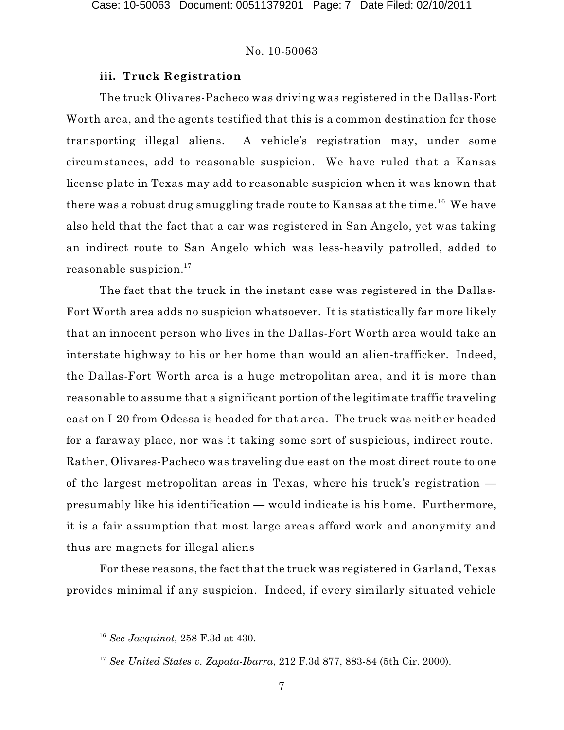## **iii. Truck Registration**

The truck Olivares-Pacheco was driving was registered in the Dallas-Fort Worth area, and the agents testified that this is a common destination for those transporting illegal aliens. A vehicle's registration may, under some circumstances, add to reasonable suspicion. We have ruled that a Kansas license plate in Texas may add to reasonable suspicion when it was known that there was a robust drug smuggling trade route to Kansas at the time. $^{16}\,$  We have also held that the fact that a car was registered in San Angelo, yet was taking an indirect route to San Angelo which was less-heavily patrolled, added to reasonable suspicion. $^{17}$ 

The fact that the truck in the instant case was registered in the Dallas-Fort Worth area adds no suspicion whatsoever. It is statistically far more likely that an innocent person who lives in the Dallas-Fort Worth area would take an interstate highway to his or her home than would an alien-trafficker. Indeed, the Dallas-Fort Worth area is a huge metropolitan area, and it is more than reasonable to assume that a significant portion of the legitimate traffic traveling east on I-20 from Odessa is headed for that area. The truck was neither headed for a faraway place, nor was it taking some sort of suspicious, indirect route. Rather, Olivares-Pacheco was traveling due east on the most direct route to one of the largest metropolitan areas in Texas, where his truck's registration presumably like his identification — would indicate is his home. Furthermore, it is a fair assumption that most large areas afford work and anonymity and thus are magnets for illegal aliens

For these reasons, the fact that the truck was registered in Garland, Texas provides minimal if any suspicion. Indeed, if every similarly situated vehicle

*See Jacquinot*, 258 F.3d at 430. 16

<sup>&</sup>lt;sup>17</sup> See United States v. Zapata-Ibarra, 212 F.3d 877, 883-84 (5th Cir. 2000).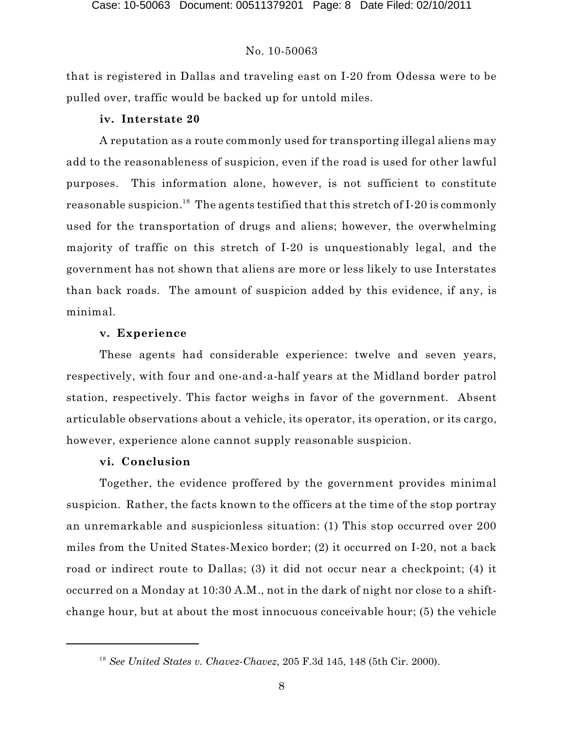that is registered in Dallas and traveling east on I-20 from Odessa were to be pulled over, traffic would be backed up for untold miles.

## **iv. Interstate 20**

A reputation as a route commonly used for transporting illegal aliens may add to the reasonableness of suspicion, even if the road is used for other lawful purposes. This information alone, however, is not sufficient to constitute reasonable suspicion. $^{\rm 18}$  The agents testified that this stretch of I-20 is commonly used for the transportation of drugs and aliens; however, the overwhelming majority of traffic on this stretch of I-20 is unquestionably legal, and the government has not shown that aliens are more or less likely to use Interstates than back roads. The amount of suspicion added by this evidence, if any, is minimal.

# **v. Experience**

These agents had considerable experience: twelve and seven years, respectively, with four and one-and-a-half years at the Midland border patrol station, respectively. This factor weighs in favor of the government. Absent articulable observations about a vehicle, its operator, its operation, or its cargo, however, experience alone cannot supply reasonable suspicion.

## **vi. Conclusion**

Together, the evidence proffered by the government provides minimal suspicion. Rather, the facts known to the officers at the time of the stop portray an unremarkable and suspicionless situation: (1) This stop occurred over 200 miles from the United States-Mexico border; (2) it occurred on I-20, not a back road or indirect route to Dallas; (3) it did not occur near a checkpoint; (4) it occurred on a Monday at 10:30 A.M., not in the dark of night nor close to a shiftchange hour, but at about the most innocuous conceivable hour; (5) the vehicle

*See United States v. Chavez-Chavez*, 205 F.3d 145, 148 (5th Cir. 2000). 18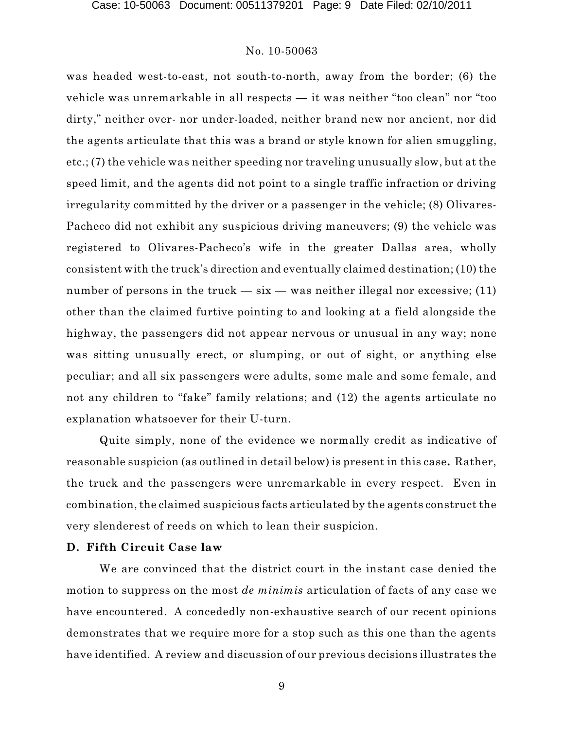was headed west-to-east, not south-to-north, away from the border; (6) the vehicle was unremarkable in all respects — it was neither "too clean" nor "too dirty," neither over- nor under-loaded, neither brand new nor ancient, nor did the agents articulate that this was a brand or style known for alien smuggling, etc.; (7) the vehicle was neither speeding nor traveling unusually slow, but at the speed limit, and the agents did not point to a single traffic infraction or driving irregularity committed by the driver or a passenger in the vehicle; (8) Olivares-Pacheco did not exhibit any suspicious driving maneuvers; (9) the vehicle was registered to Olivares-Pacheco's wife in the greater Dallas area, wholly consistent with the truck's direction and eventually claimed destination; (10) the number of persons in the truck  $-$  six  $-$  was neither illegal nor excessive; (11) other than the claimed furtive pointing to and looking at a field alongside the highway, the passengers did not appear nervous or unusual in any way; none was sitting unusually erect, or slumping, or out of sight, or anything else peculiar; and all six passengers were adults, some male and some female, and not any children to "fake" family relations; and (12) the agents articulate no explanation whatsoever for their U-turn.

Quite simply, none of the evidence we normally credit as indicative of reasonable suspicion (as outlined in detail below) is present in this case**.** Rather, the truck and the passengers were unremarkable in every respect. Even in combination,the claimed suspicious facts articulated by the agents construct the very slenderest of reeds on which to lean their suspicion.

# **D. Fifth Circuit Case law**

We are convinced that the district court in the instant case denied the motion to suppress on the most *de minimis* articulation of facts of any case we have encountered. A concededly non-exhaustive search of our recent opinions demonstrates that we require more for a stop such as this one than the agents have identified. A review and discussion of our previous decisions illustrates the

9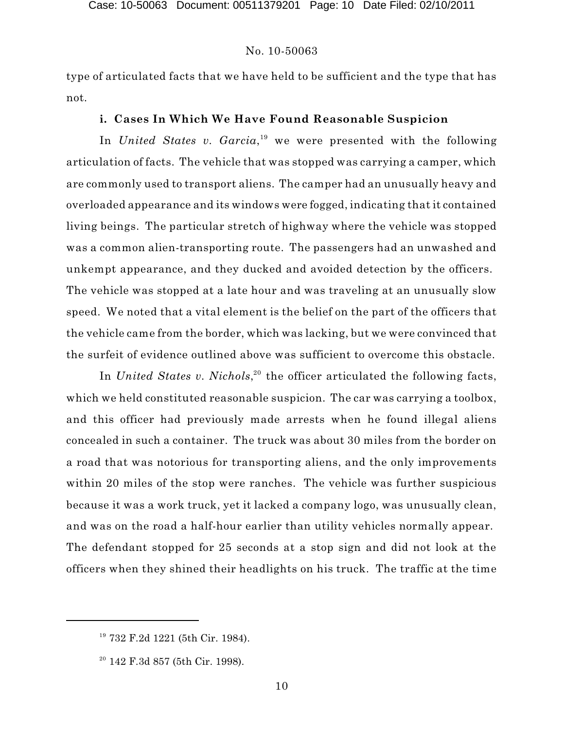type of articulated facts that we have held to be sufficient and the type that has not.

# **i. Cases In Which We Have Found Reasonable Suspicion**

In *United States v. Garcia*,<sup>19</sup> we were presented with the following articulation of facts. The vehicle that was stopped was carrying a camper, which are commonly used to transport aliens. The camper had an unusually heavy and overloaded appearance and its windows were fogged, indicating that it contained living beings. The particular stretch of highway where the vehicle was stopped was a common alien-transporting route. The passengers had an unwashed and unkempt appearance, and they ducked and avoided detection by the officers. The vehicle was stopped at a late hour and was traveling at an unusually slow speed. We noted that a vital element is the belief on the part of the officers that the vehicle came from the border, which was lacking, but we were convinced that the surfeit of evidence outlined above was sufficient to overcome this obstacle.

In *United States v. Nichols*,<sup>20</sup> the officer articulated the following facts, which we held constituted reasonable suspicion. The car was carrying a toolbox, and this officer had previously made arrests when he found illegal aliens concealed in such a container. The truck was about 30 miles from the border on a road that was notorious for transporting aliens, and the only improvements within 20 miles of the stop were ranches. The vehicle was further suspicious because it was a work truck, yet it lacked a company logo, was unusually clean, and was on the road a half-hour earlier than utility vehicles normally appear. The defendant stopped for 25 seconds at a stop sign and did not look at the officers when they shined their headlights on his truck. The traffic at the time

<sup>&</sup>lt;sup>19</sup> 732 F.2d 1221 (5th Cir. 1984).

 $20$  142 F.3d 857 (5th Cir. 1998).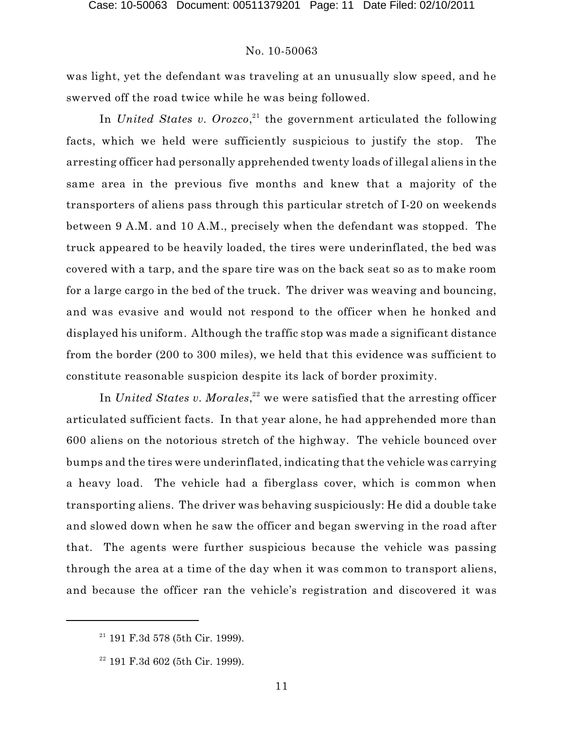was light, yet the defendant was traveling at an unusually slow speed, and he swerved off the road twice while he was being followed.

In *United States v. Orozco*,<sup>21</sup> the government articulated the following facts, which we held were sufficiently suspicious to justify the stop. The arresting officer had personally apprehended twenty loads of illegal aliens in the same area in the previous five months and knew that a majority of the transporters of aliens pass through this particular stretch of I-20 on weekends between 9 A.M. and 10 A.M., precisely when the defendant was stopped. The truck appeared to be heavily loaded, the tires were underinflated, the bed was covered with a tarp, and the spare tire was on the back seat so as to make room for a large cargo in the bed of the truck. The driver was weaving and bouncing, and was evasive and would not respond to the officer when he honked and displayed his uniform. Although the traffic stop was made a significant distance from the border (200 to 300 miles), we held that this evidence was sufficient to constitute reasonable suspicion despite its lack of border proximity.

In *United States v. Morales*, $^{22}$  we were satisfied that the arresting officer articulated sufficient facts. In that year alone, he had apprehended more than 600 aliens on the notorious stretch of the highway. The vehicle bounced over bumps and the tires were underinflated, indicating that the vehicle was carrying a heavy load. The vehicle had a fiberglass cover, which is common when transporting aliens. The driver was behaving suspiciously: He did a double take and slowed down when he saw the officer and began swerving in the road after that. The agents were further suspicious because the vehicle was passing through the area at a time of the day when it was common to transport aliens, and because the officer ran the vehicle's registration and discovered it was

 $21$  191 F.3d 578 (5th Cir. 1999).

 $22$  191 F.3d 602 (5th Cir. 1999).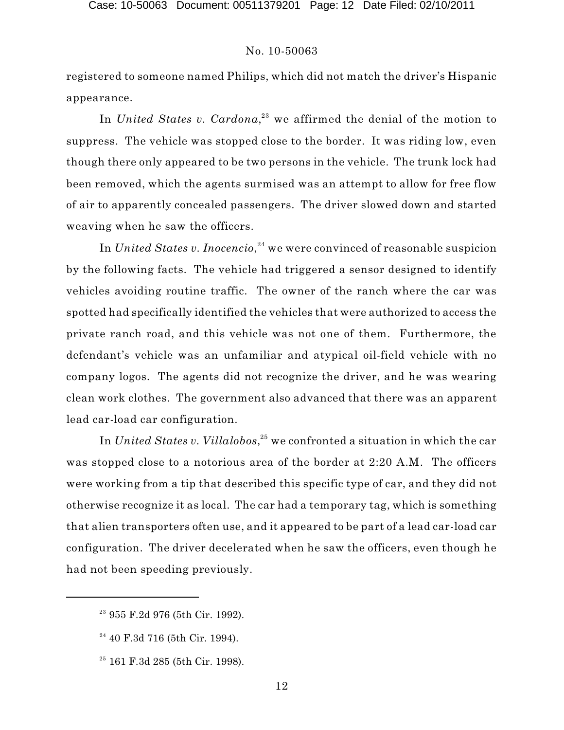registered to someone named Philips, which did not match the driver's Hispanic appearance.

In *United States v. Cardona*,<sup>23</sup> we affirmed the denial of the motion to suppress. The vehicle was stopped close to the border. It was riding low, even though there only appeared to be two persons in the vehicle. The trunk lock had been removed, which the agents surmised was an attempt to allow for free flow of air to apparently concealed passengers. The driver slowed down and started weaving when he saw the officers.

In *United States v. Inocencio,*<sup>24</sup> we were convinced of reasonable suspicion by the following facts. The vehicle had triggered a sensor designed to identify vehicles avoiding routine traffic. The owner of the ranch where the car was spotted had specifically identified the vehicles that were authorized to access the private ranch road, and this vehicle was not one of them. Furthermore, the defendant's vehicle was an unfamiliar and atypical oil-field vehicle with no company logos. The agents did not recognize the driver, and he was wearing clean work clothes. The government also advanced that there was an apparent lead car-load car configuration.

In  $United\ States\ v.\ Villalobos, ^{25}$  we confronted a situation in which the car was stopped close to a notorious area of the border at 2:20 A.M. The officers were working from a tip that described this specific type of car, and they did not otherwise recognize it as local. The car had a temporary tag, which is something that alien transporters often use, and it appeared to be part of a lead car-load car configuration. The driver decelerated when he saw the officers, even though he had not been speeding previously.

<sup>&</sup>lt;sup>23</sup> 955 F.2d 976 (5th Cir. 1992).

 $24$  40 F.3d 716 (5th Cir. 1994).

 $25$  161 F.3d 285 (5th Cir. 1998).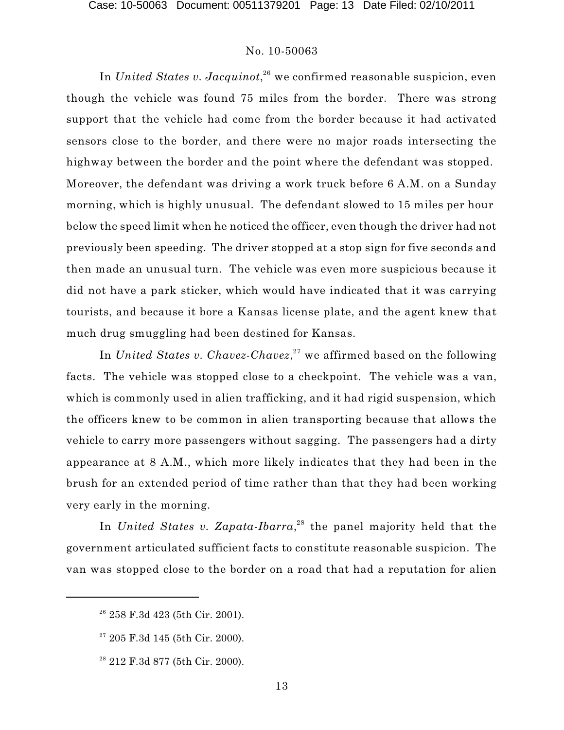In *United States v. Jacquinot*,<sup>26</sup> we confirmed reasonable suspicion, even though the vehicle was found 75 miles from the border. There was strong support that the vehicle had come from the border because it had activated sensors close to the border, and there were no major roads intersecting the highway between the border and the point where the defendant was stopped. Moreover, the defendant was driving a work truck before 6 A.M. on a Sunday morning, which is highly unusual. The defendant slowed to 15 miles per hour below the speed limit when he noticed the officer, even though the driver had not previously been speeding. The driver stopped at a stop sign for five seconds and then made an unusual turn. The vehicle was even more suspicious because it did not have a park sticker, which would have indicated that it was carrying tourists, and because it bore a Kansas license plate, and the agent knew that much drug smuggling had been destined for Kansas.

In *United States v. Chavez-Chavez*,<sup>27</sup> we affirmed based on the following facts. The vehicle was stopped close to a checkpoint. The vehicle was a van, which is commonly used in alien trafficking, and it had rigid suspension, which the officers knew to be common in alien transporting because that allows the vehicle to carry more passengers without sagging. The passengers had a dirty appearance at 8 A.M., which more likely indicates that they had been in the brush for an extended period of time rather than that they had been working very early in the morning.

In *United States v. Zapata-Ibarra*,<sup>28</sup> the panel majority held that the government articulated sufficient facts to constitute reasonable suspicion. The van was stopped close to the border on a road that had a reputation for alien

<sup>&</sup>lt;sup>26</sup> 258 F.3d 423 (5th Cir. 2001).

 $27$  205 F.3d 145 (5th Cir. 2000).

 $28212$  F.3d 877 (5th Cir. 2000).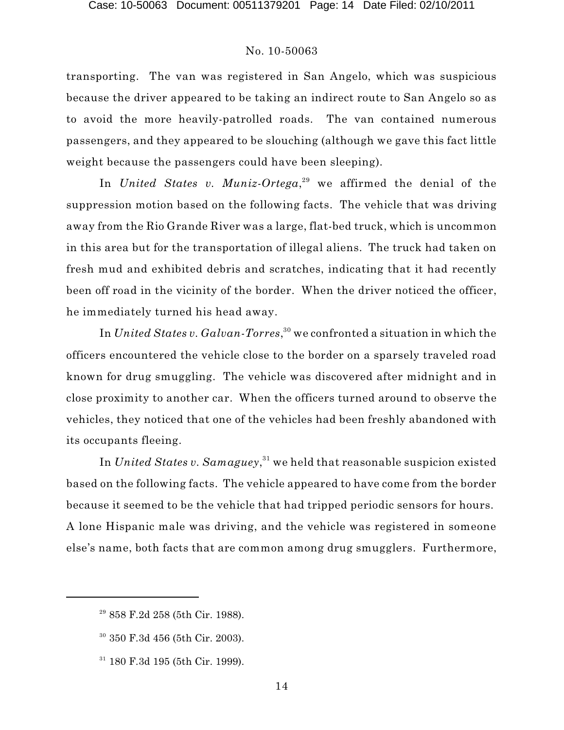transporting. The van was registered in San Angelo, which was suspicious because the driver appeared to be taking an indirect route to San Angelo so as to avoid the more heavily-patrolled roads. The van contained numerous passengers, and they appeared to be slouching (although we gave this fact little weight because the passengers could have been sleeping).

In *United States v. Muniz-Ortega*,<sup>29</sup> we affirmed the denial of the suppression motion based on the following facts. The vehicle that was driving away from the Rio Grande River was a large, flat-bed truck, which is uncommon in this area but for the transportation of illegal aliens. The truck had taken on fresh mud and exhibited debris and scratches, indicating that it had recently been off road in the vicinity of the border. When the driver noticed the officer, he immediately turned his head away.

In  $United\ States\ v.\ Galvan-Torres, ^{30}$  we confronted a situation in which the officers encountered the vehicle close to the border on a sparsely traveled road known for drug smuggling. The vehicle was discovered after midnight and in close proximity to another car. When the officers turned around to observe the vehicles, they noticed that one of the vehicles had been freshly abandoned with its occupants fleeing.

In  $United\ States\ v.\ Samaguey, ^{31}$  we held that reasonable suspicion existed based on the following facts. The vehicle appeared to have come from the border because it seemed to be the vehicle that had tripped periodic sensors for hours. A lone Hispanic male was driving, and the vehicle was registered in someone else's name, both facts that are common among drug smugglers. Furthermore,

<sup>&</sup>lt;sup>29</sup> 858 F.2d 258 (5th Cir. 1988).

 $30$  350 F.3d 456 (5th Cir. 2003).

 $31$  180 F.3d 195 (5th Cir. 1999).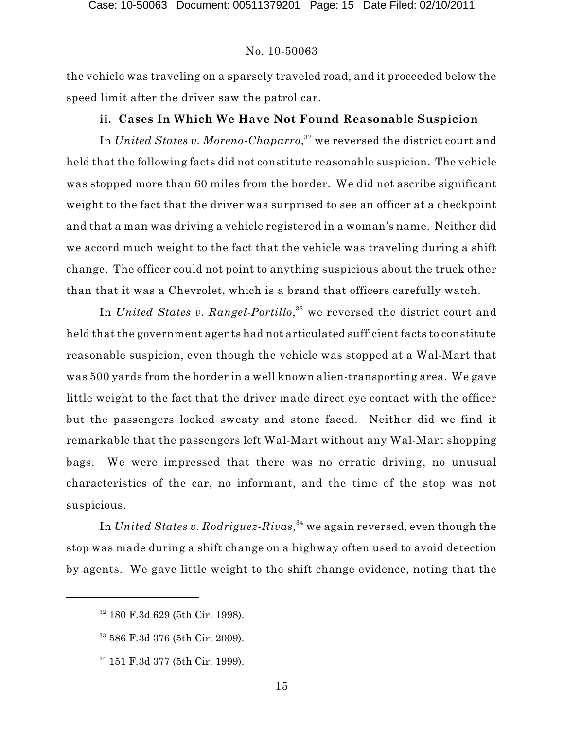the vehicle was traveling on a sparsely traveled road, and it proceeded below the speed limit after the driver saw the patrol car.

#### **ii. Cases In Which We Have Not Found Reasonable Suspicion**

In *United States v. Moreno-Chaparro,* $^{32}$  we reversed the district court and held that the following facts did not constitute reasonable suspicion. The vehicle was stopped more than 60 miles from the border. We did not ascribe significant weight to the fact that the driver was surprised to see an officer at a checkpoint and that a man was driving a vehicle registered in a woman's name. Neither did we accord much weight to the fact that the vehicle was traveling during a shift change. The officer could not point to anything suspicious about the truck other than that it was a Chevrolet, which is a brand that officers carefully watch.

In *United States v. Rangel-Portillo*,<sup>33</sup> we reversed the district court and held that the government agents had not articulated sufficient facts to constitute reasonable suspicion, even though the vehicle was stopped at a Wal-Mart that was 500 yards from the border in a well known alien-transporting area. We gave little weight to the fact that the driver made direct eye contact with the officer but the passengers looked sweaty and stone faced. Neither did we find it remarkable that the passengers left Wal-Mart without any Wal-Mart shopping bags. We were impressed that there was no erratic driving, no unusual characteristics of the car, no informant, and the time of the stop was not suspicious.

In *United States v. Rodriguez-Rivas*,<sup>34</sup> we again reversed, even though the stop was made during a shift change on a highway often used to avoid detection by agents. We gave little weight to the shift change evidence, noting that the

<sup>&</sup>lt;sup>32</sup> 180 F.3d 629 (5th Cir. 1998).

 $33\,586$  F.3d 376 (5th Cir. 2009).

 $34$  151 F.3d 377 (5th Cir. 1999).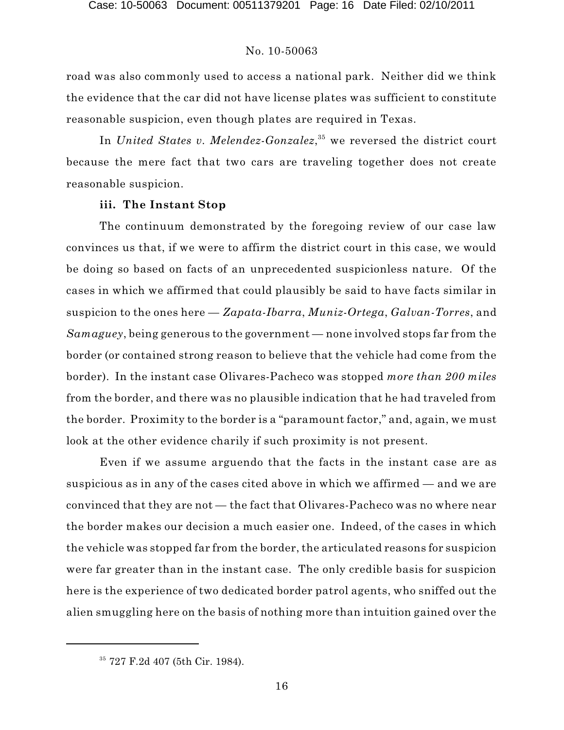road was also commonly used to access a national park. Neither did we think the evidence that the car did not have license plates was sufficient to constitute reasonable suspicion, even though plates are required in Texas.

In *United States v. Melendez-Gonzalez*,<sup>35</sup> we reversed the district court because the mere fact that two cars are traveling together does not create reasonable suspicion.

# **iii. The Instant Stop**

The continuum demonstrated by the foregoing review of our case law convinces us that, if we were to affirm the district court in this case, we would be doing so based on facts of an unprecedented suspicionless nature. Of the cases in which we affirmed that could plausibly be said to have facts similar in suspicion to the ones here — *Zapata-Ibarra*, *Muniz-Ortega*, *Galvan-Torres*, and *Samaguey*, being generous to the government — none involved stops far from the border (or contained strong reason to believe that the vehicle had come from the border). In the instant case Olivares-Pacheco was stopped *more than 200 miles* from the border, and there was no plausible indication that he had traveled from the border. Proximity to the border is a "paramount factor," and, again, we must look at the other evidence charily if such proximity is not present.

Even if we assume arguendo that the facts in the instant case are as suspicious as in any of the cases cited above in which we affirmed — and we are convinced that they are not — the fact that Olivares-Pacheco was no where near the border makes our decision a much easier one. Indeed, of the cases in which the vehicle was stopped far from the border, the articulated reasons for suspicion were far greater than in the instant case. The only credible basis for suspicion here is the experience of two dedicated border patrol agents, who sniffed out the alien smuggling here on the basis of nothing more than intuition gained over the

<sup>&</sup>lt;sup>35</sup> 727 F.2d 407 (5th Cir. 1984).